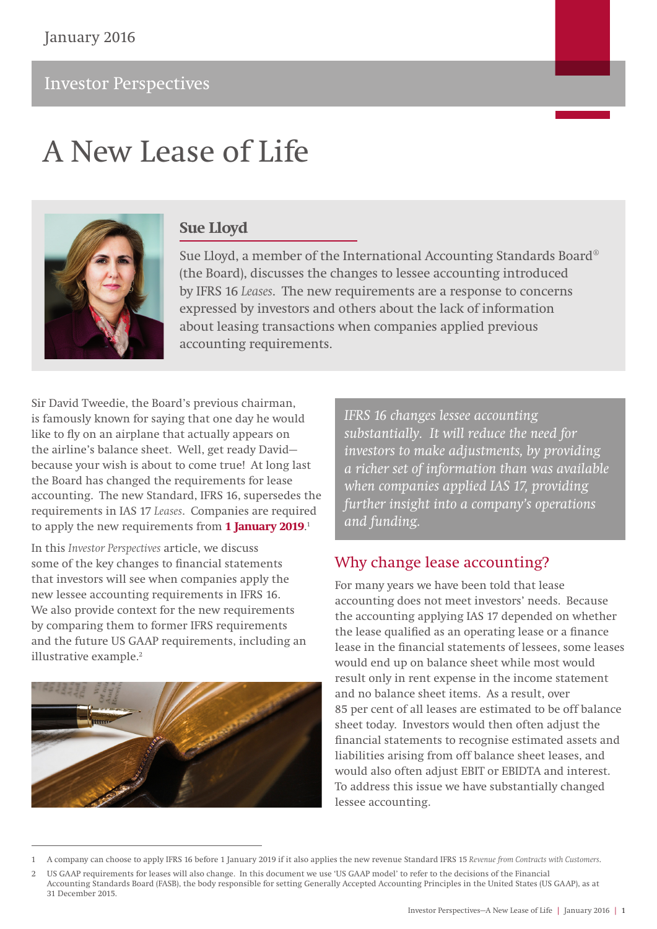# A New Lease of Life



## **Sue Lloyd**

Sue Lloyd, a member of the International Accounting Standards Board® (the Board), discusses the changes to lessee accounting introduced by IFRS 16 *Leases*. The new requirements are a response to concerns expressed by investors and others about the lack of information about leasing transactions when companies applied previous accounting requirements.

Sir David Tweedie, the Board's previous chairman, is famously known for saying that one day he would like to fly on an airplane that actually appears on the airline's balance sheet. Well, get ready David because your wish is about to come true! At long last the Board has changed the requirements for lease accounting. The new Standard, IFRS 16, supersedes the requirements in IAS 17 *Leases*. Companies are required to apply the new requirements from **1 January 2019**. 1

In this *Investor Perspectives* article, we discuss some of the key changes to financial statements that investors will see when companies apply the new lessee accounting requirements in IFRS 16. We also provide context for the new requirements by comparing them to former IFRS requirements and the future US GAAP requirements, including an illustrative example.2



*IFRS 16 changes lessee accounting substantially. It will reduce the need for investors to make adjustments, by providing a richer set of information than was available when companies applied IAS 17, providing further insight into a company's operations and funding.*

## Why change lease accounting?

For many years we have been told that lease accounting does not meet investors' needs. Because the accounting applying IAS 17 depended on whether the lease qualified as an operating lease or a finance lease in the financial statements of lessees, some leases would end up on balance sheet while most would result only in rent expense in the income statement and no balance sheet items. As a result, over 85 per cent of all leases are estimated to be off balance sheet today. Investors would then often adjust the financial statements to recognise estimated assets and liabilities arising from off balance sheet leases, and would also often adjust EBIT or EBIDTA and interest. To address this issue we have substantially changed lessee accounting.

<sup>1</sup> A company can choose to apply IFRS 16 before 1 January 2019 if it also applies the new revenue Standard IFRS 15 *Revenue from Contracts with Customers*.

<sup>2</sup> US GAAP requirements for leases will also change. In this document we use 'US GAAP model' to refer to the decisions of the Financial Accounting Standards Board (FASB), the body responsible for setting Generally Accepted Accounting Principles in the United States (US GAAP), as at 31 December 2015.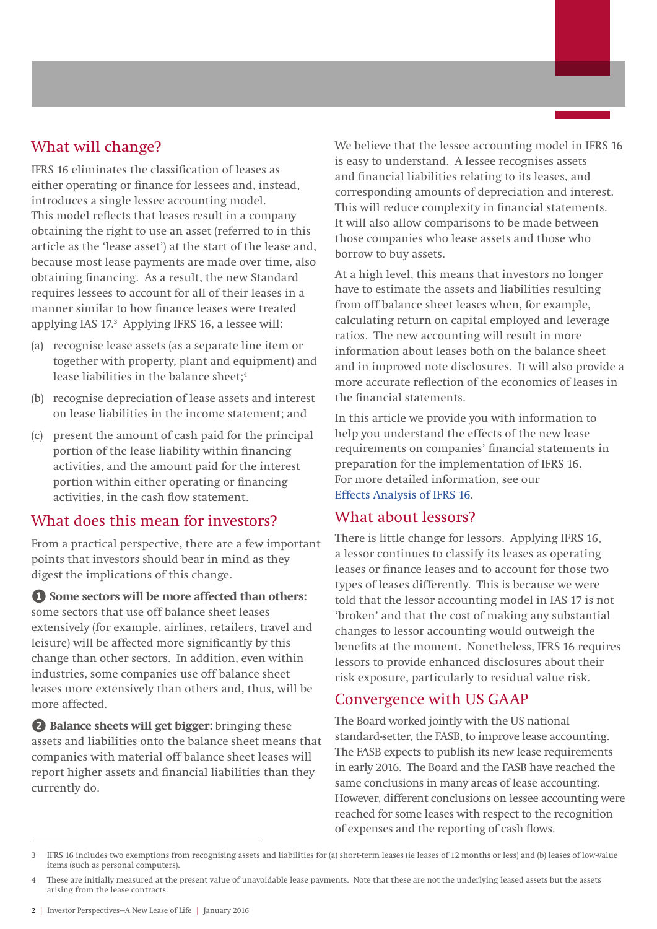## What will change?

IFRS 16 eliminates the classification of leases as either operating or finance for lessees and, instead, introduces a single lessee accounting model. This model reflects that leases result in a company obtaining the right to use an asset (referred to in this article as the 'lease asset') at the start of the lease and, because most lease payments are made over time, also obtaining financing. As a result, the new Standard requires lessees to account for all of their leases in a manner similar to how finance leases were treated applying IAS 17.3 Applying IFRS 16, a lessee will:

- (a) recognise lease assets (as a separate line item or together with property, plant and equipment) and lease liabilities in the balance sheet;<sup>4</sup>
- (b) recognise depreciation of lease assets and interest on lease liabilities in the income statement; and
- (c) present the amount of cash paid for the principal portion of the lease liability within financing activities, and the amount paid for the interest portion within either operating or financing activities, in the cash flow statement.

## What does this mean for investors?

From a practical perspective, there are a few important points that investors should bear in mind as they digest the implications of this change.

**❶ Some sectors will be more affected than others:** some sectors that use off balance sheet leases extensively (for example, airlines, retailers, travel and leisure) will be affected more significantly by this change than other sectors. In addition, even within industries, some companies use off balance sheet leases more extensively than others and, thus, will be more affected.

**❷ Balance sheets will get bigger:** bringing these assets and liabilities onto the balance sheet means that companies with material off balance sheet leases will report higher assets and financial liabilities than they currently do.

We believe that the lessee accounting model in IFRS 16 is easy to understand. A lessee recognises assets and financial liabilities relating to its leases, and corresponding amounts of depreciation and interest. This will reduce complexity in financial statements. It will also allow comparisons to be made between those companies who lease assets and those who borrow to buy assets.

At a high level, this means that investors no longer have to estimate the assets and liabilities resulting from off balance sheet leases when, for example, calculating return on capital employed and leverage ratios. The new accounting will result in more information about leases both on the balance sheet and in improved note disclosures. It will also provide a more accurate reflection of the economics of leases in the financial statements.

In this article we provide you with information to help you understand the effects of the new lease requirements on companies' financial statements in preparation for the implementation of IFRS 16. For more detailed information, see our [Effects Analysis of IFRS 16](http://www.ifrs.org/Current-Projects/IASB-Projects/Leases/Documents/IFRS_16_effects_analysis.pdf).

## What about lessors?

There is little change for lessors. Applying IFRS 16, a lessor continues to classify its leases as operating leases or finance leases and to account for those two types of leases differently. This is because we were told that the lessor accounting model in IAS 17 is not 'broken' and that the cost of making any substantial changes to lessor accounting would outweigh the benefits at the moment. Nonetheless, IFRS 16 requires lessors to provide enhanced disclosures about their risk exposure, particularly to residual value risk.

## Convergence with US GAAP

The Board worked jointly with the US national standard‑setter, the FASB, to improve lease accounting. The FASB expects to publish its new lease requirements in early 2016. The Board and the FASB have reached the same conclusions in many areas of lease accounting. However, different conclusions on lessee accounting were reached for some leases with respect to the recognition of expenses and the reporting of cash flows.

<sup>3</sup> IFRS 16 includes two exemptions from recognising assets and liabilities for (a) short-term leases (ie leases of 12 months or less) and (b) leases of low-value items (such as personal computers).

<sup>4</sup> These are initially measured at the present value of unavoidable lease payments. Note that these are not the underlying leased assets but the assets arising from the lease contracts.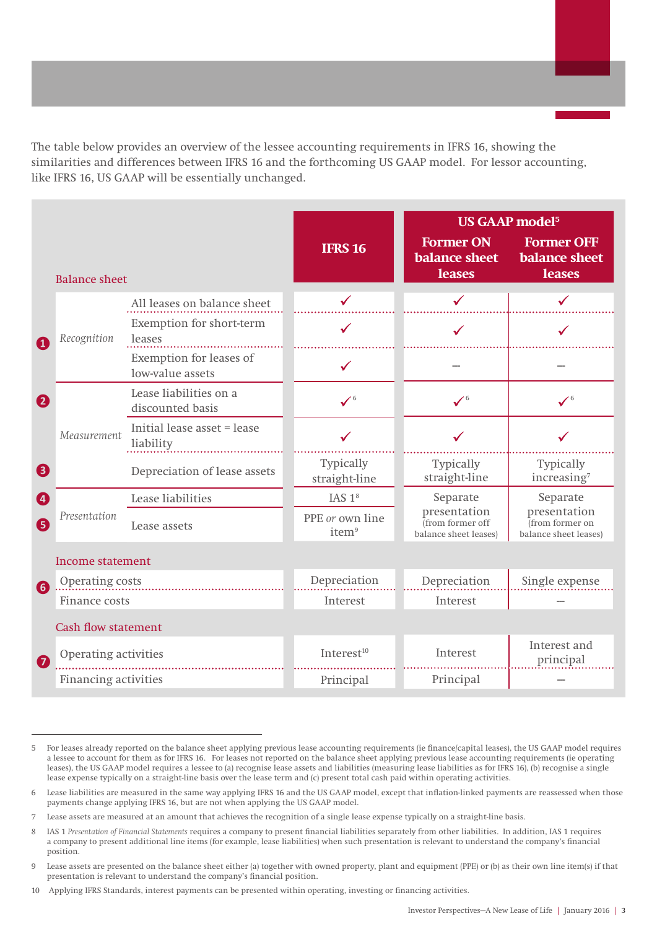The table below provides an overview of the lessee accounting requirements in IFRS 16, showing the similarities and differences between IFRS 16 and the forthcoming US GAAP model. For lessor accounting, like IFRS 16, US GAAP will be essentially unchanged.

|                             |                                             |                                      |                                                           | <b>US GAAP model<sup>5</sup></b>                           |
|-----------------------------|---------------------------------------------|--------------------------------------|-----------------------------------------------------------|------------------------------------------------------------|
| <b>Balance sheet</b>        |                                             | <b>IFRS 16</b>                       | <b>Former ON</b><br><b>balance sheet</b><br><b>leases</b> | <b>Former OFF</b><br><b>balance sheet</b><br><b>leases</b> |
|                             | All leases on balance sheet                 | $\checkmark$                         |                                                           |                                                            |
| Recognition<br>a            | Exemption for short-term<br>leases          |                                      |                                                           |                                                            |
|                             | Exemption for leases of<br>low-value assets | $\checkmark$                         |                                                           |                                                            |
| $\boldsymbol{a}$            | Lease liabilities on a<br>discounted basis  | $\checkmark$ <sup>6</sup>            | $\checkmark$ <sup>6</sup>                                 | $\checkmark$ <sup>6</sup>                                  |
| Measurement                 | Initial lease asset = lease<br>liability    |                                      |                                                           |                                                            |
| ❸                           | Depreciation of lease assets                | Typically<br>straight-line           | Typically<br>straight-line                                | Typically<br>increasing <sup>7</sup>                       |
| Ø                           | Lease liabilities                           | IAS $18$                             | Separate                                                  | Separate                                                   |
| Presentation<br>6           | Lease assets                                | PPE or own line<br>item <sup>9</sup> | presentation<br>from former off<br>balance sheet leases)  | presentation<br>(from former on<br>balance sheet leases)   |
| Income statement            |                                             |                                      |                                                           |                                                            |
| Operating costs<br>6        |                                             | Depreciation                         | Depreciation                                              | Single expense                                             |
| Finance costs               |                                             | Interest                             | Interest                                                  |                                                            |
| <b>Cash flow statement</b>  |                                             |                                      |                                                           |                                                            |
| Operating activities        |                                             | Interest <sup>10</sup>               | Interest                                                  | Interest and<br>principal                                  |
| <b>Financing activities</b> |                                             | Principal                            | Principal                                                 |                                                            |

<sup>5</sup> For leases already reported on the balance sheet applying previous lease accounting requirements (ie finance/capital leases), the US GAAP model requires a lessee to account for them as for IFRS 16. For leases not reported on the balance sheet applying previous lease accounting requirements (ie operating leases), the US GAAP model requires a lessee to (a) recognise lease assets and liabilities (measuring lease liabilities as for IFRS 16), (b) recognise a single lease expense typically on a straight-line basis over the lease term and (c) present total cash paid within operating activities.

<sup>6</sup> Lease liabilities are measured in the same way applying IFRS 16 and the US GAAP model, except that inflation-linked payments are reassessed when those payments change applying IFRS 16, but are not when applying the US GAAP model.

<sup>7</sup> Lease assets are measured at an amount that achieves the recognition of a single lease expense typically on a straight-line basis.

<sup>8</sup> IAS 1 *Presentation of Financial Statements* requires a company to present financial liabilities separately from other liabilities. In addition, IAS 1 requires a company to present additional line items (for example, lease liabilities) when such presentation is relevant to understand the company's financial position.

<sup>9</sup> Lease assets are presented on the balance sheet either (a) together with owned property, plant and equipment (PPE) or (b) as their own line item(s) if that presentation is relevant to understand the company's financial position.

<sup>10</sup> Applying IFRS Standards, interest payments can be presented within operating, investing or financing activities.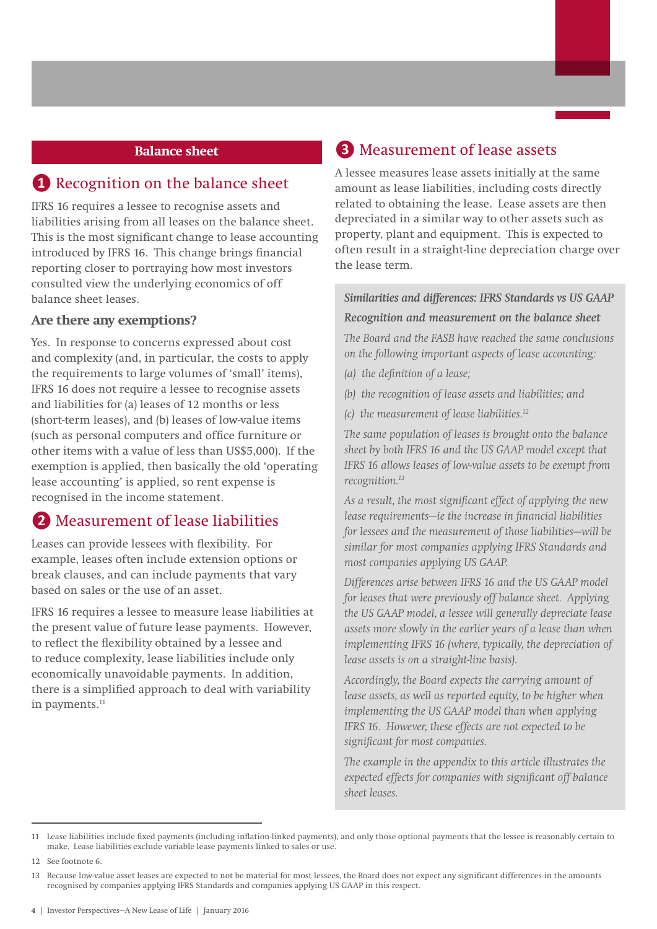#### **Balance sheet**

## **❶** Recognition on the balance sheet

IFRS 16 requires a lessee to recognise assets and liabilities arising from all leases on the balance sheet. This is the most significant change to lease accounting introduced by IFRS 16. This change brings financial reporting closer to portraying how most investors consulted view the underlying economics of off balance sheet leases.

#### **Are there any exemptions?**

Yes. In response to concerns expressed about cost and complexity (and, in particular, the costs to apply the requirements to large volumes of 'small' items), IFRS 16 does not require a lessee to recognise assets and liabilities for (a) leases of 12 months or less (short-term leases), and (b) leases of low-value items (such as personal computers and office furniture or other items with a value of less than US\$5,000). If the exemption is applied, then basically the old 'operating lease accounting' is applied, so rent expense is recognised in the income statement.

## **❷** Measurement of lease liabilities

Leases can provide lessees with flexibility. For example, leases often include extension options or break clauses, and can include payments that vary based on sales or the use of an asset.

IFRS 16 requires a lessee to measure lease liabilities at the present value of future lease payments. However, to reflect the flexibility obtained by a lessee and to reduce complexity, lease liabilities include only economically unavoidable payments. In addition, there is a simplified approach to deal with variability in payments.<sup>11</sup>

## **❸** Measurement of lease assets

A lessee measures lease assets initially at the same amount as lease liabilities, including costs directly related to obtaining the lease. Lease assets are then depreciated in a similar way to other assets such as property, plant and equipment. This is expected to often result in a straight-line depreciation charge over the lease term.

### *Similarities and differences: IFRS Standards vs US GAAP*

#### *Recognition and measurement on the balance sheet*

*The Board and the FASB have reached the same conclusions on the following important aspects of lease accounting:*

- *(a) the definition of a lease;*
- *(b) the recognition of lease assets and liabilities; and*
- *(c) the measurement of lease liabilities.12*

*The same population of leases is brought onto the balance sheet by both IFRS 16 and the US GAAP model except that IFRS 16 allows leases of low-value assets to be exempt from recognition.13*

*As a result, the most significant effect of applying the new lease requirements—ie the increase in financial liabilities for lessees and the measurement of those liabilities—will be similar for most companies applying IFRS Standards and most companies applying US GAAP.*

*Differences arise between IFRS 16 and the US GAAP model for leases that were previously off balance sheet. Applying the US GAAP model, a lessee will generally depreciate lease assets more slowly in the earlier years of a lease than when implementing IFRS 16 (where, typically, the depreciation of lease assets is on a straight-line basis).* 

*Accordingly, the Board expects the carrying amount of lease assets, as well as reported equity, to be higher when implementing the US GAAP model than when applying IFRS 16. However, these effects are not expected to be significant for most companies.* 

*The example in the appendix to this article illustrates the expected effects for companies with significant off balance sheet leases.* 

<sup>11</sup> Lease liabilities include fixed payments (including inflation-linked payments), and only those optional payments that the lessee is reasonably certain to make. Lease liabilities exclude variable lease payments linked to sales or use.

<sup>12</sup> See footnote 6.

<sup>13</sup> Because low-value asset leases are expected to not be material for most lessees, the Board does not expect any significant differences in the amounts recognised by companies applying IFRS Standards and companies applying US GAAP in this respect.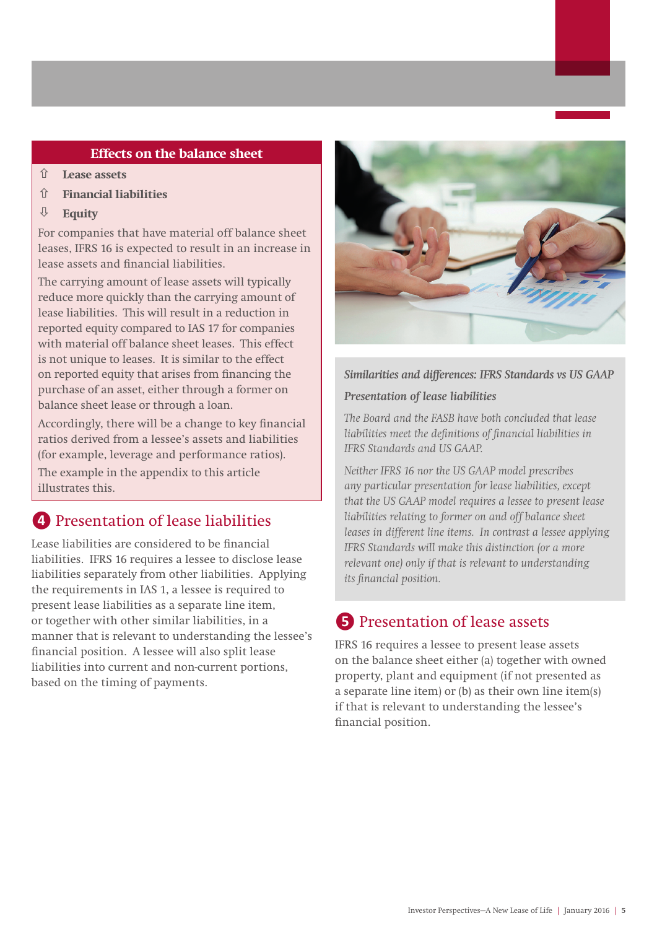#### **Effects on the balance sheet**

- **Lease assets**
- **Financial liabilities**
- **Equity**

For companies that have material off balance sheet leases, IFRS 16 is expected to result in an increase in lease assets and financial liabilities.

The carrying amount of lease assets will typically reduce more quickly than the carrying amount of lease liabilities. This will result in a reduction in reported equity compared to IAS 17 for companies with material off balance sheet leases. This effect is not unique to leases. It is similar to the effect on reported equity that arises from financing the purchase of an asset, either through a former on balance sheet lease or through a loan.

Accordingly, there will be a change to key financial ratios derived from a lessee's assets and liabilities (for example, leverage and performance ratios).

The example in the appendix to this article illustrates this.

# **4** Presentation of lease liabilities

Lease liabilities are considered to be financial liabilities. IFRS 16 requires a lessee to disclose lease liabilities separately from other liabilities. Applying the requirements in IAS 1, a lessee is required to present lease liabilities as a separate line item, or together with other similar liabilities, in a manner that is relevant to understanding the lessee's financial position. A lessee will also split lease liabilities into current and non‑current portions, based on the timing of payments.



#### *Similarities and differences: IFRS Standards vs US GAAP*

#### *Presentation of lease liabilities*

*The Board and the FASB have both concluded that lease liabilities meet the definitions of financial liabilities in IFRS Standards and US GAAP.* 

*Neither IFRS 16 nor the US GAAP model prescribes any particular presentation for lease liabilities, except that the US GAAP model requires a lessee to present lease liabilities relating to former on and off balance sheet leases in different line items. In contrast a lessee applying IFRS Standards will make this distinction (or a more relevant one) only if that is relevant to understanding its financial position.*

# **b** Presentation of lease assets

IFRS 16 requires a lessee to present lease assets on the balance sheet either (a) together with owned property, plant and equipment (if not presented as a separate line item) or (b) as their own line item(s) if that is relevant to understanding the lessee's financial position.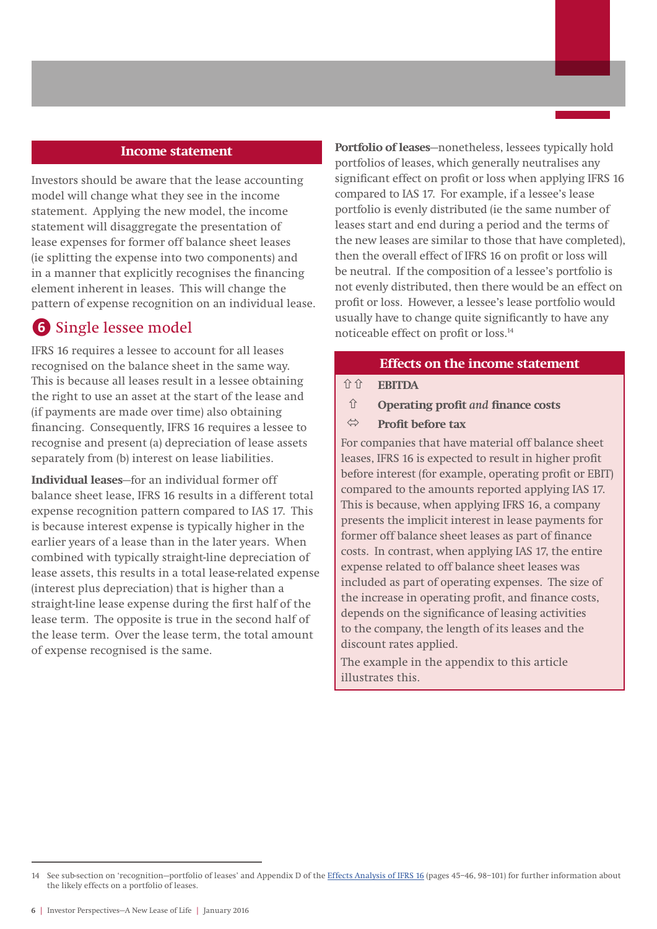#### **Income statement**

Investors should be aware that the lease accounting model will change what they see in the income statement. Applying the new model, the income statement will disaggregate the presentation of lease expenses for former off balance sheet leases (ie splitting the expense into two components) and in a manner that explicitly recognises the financing element inherent in leases. This will change the pattern of expense recognition on an individual lease.

## **6** Single lessee model

IFRS 16 requires a lessee to account for all leases recognised on the balance sheet in the same way. This is because all leases result in a lessee obtaining the right to use an asset at the start of the lease and (if payments are made over time) also obtaining financing. Consequently, IFRS 16 requires a lessee to recognise and present (a) depreciation of lease assets separately from (b) interest on lease liabilities.

**Individual leases**—for an individual former off balance sheet lease, IFRS 16 results in a different total expense recognition pattern compared to IAS 17. This is because interest expense is typically higher in the earlier years of a lease than in the later years. When combined with typically straight-line depreciation of lease assets, this results in a total lease-related expense (interest plus depreciation) that is higher than a straight-line lease expense during the first half of the lease term. The opposite is true in the second half of the lease term. Over the lease term, the total amount of expense recognised is the same.

**Portfolio of leases**—nonetheless, lessees typically hold portfolios of leases, which generally neutralises any significant effect on profit or loss when applying IFRS 16 compared to IAS 17. For example, if a lessee's lease portfolio is evenly distributed (ie the same number of leases start and end during a period and the terms of the new leases are similar to those that have completed), then the overall effect of IFRS 16 on profit or loss will be neutral. If the composition of a lessee's portfolio is not evenly distributed, then there would be an effect on profit or loss. However, a lessee's lease portfolio would usually have to change quite significantly to have any noticeable effect on profit or loss.14

#### **Effects on the income statement**

**EBITDA**

**Operating profit** *and* **finance costs**

#### **Profit before tax**

For companies that have material off balance sheet leases, IFRS 16 is expected to result in higher profit before interest (for example, operating profit or EBIT) compared to the amounts reported applying IAS 17. This is because, when applying IFRS 16, a company presents the implicit interest in lease payments for former off balance sheet leases as part of finance costs. In contrast, when applying IAS 17, the entire expense related to off balance sheet leases was included as part of operating expenses. The size of the increase in operating profit, and finance costs, depends on the significance of leasing activities to the company, the length of its leases and the discount rates applied.

The example in the appendix to this article illustrates this.

<sup>14</sup> See sub-section on 'recognition-portfolio of leases' and Appendix D of the [Effects Analysis of IFRS 16](http://www.ifrs.org/Current-Projects/IASB-Projects/Leases/Documents/IFRS_16_effects_analysis.pdf) (pages 45-46, 98-101) for further information about the likely effects on a portfolio of leases.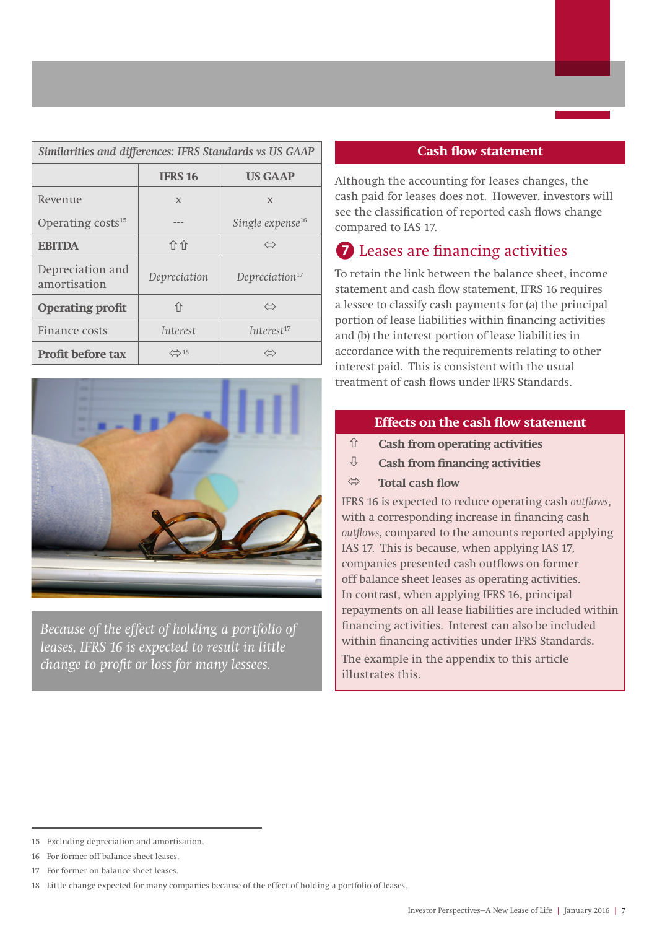| Similarities and differences: IFRS Standards vs US GAAP     |                |                              |  |  |
|-------------------------------------------------------------|----------------|------------------------------|--|--|
|                                                             | <b>IFRS 16</b> | <b>US GAAP</b>               |  |  |
| Revenue                                                     | $\mathbf{x}$   | $\mathbf{x}$                 |  |  |
| Operating costs <sup>15</sup>                               |                | Single expense <sup>16</sup> |  |  |
| <b>EBITDA</b>                                               | 介介             | ⇔                            |  |  |
| Depreciation and<br>amortisation                            | Depreciation   | Depreciation $17$            |  |  |
| 介<br><b>Operating profit</b><br>$\Leftrightarrow$           |                |                              |  |  |
| Finance costs                                               | Interest       | Interest <sup>17</sup>       |  |  |
| $\left\langle \right\rangle$ 18<br><b>Profit before tax</b> |                |                              |  |  |



*Because of the effect of holding a portfolio of leases, IFRS 16 is expected to result in little change to profit or loss for many lessees.*

#### **Cash flow statement**

Although the accounting for leases changes, the cash paid for leases does not. However, investors will see the classification of reported cash flows change compared to IAS 17.

# **❼** Leases are financing activities

To retain the link between the balance sheet, income statement and cash flow statement, IFRS 16 requires a lessee to classify cash payments for (a) the principal portion of lease liabilities within financing activities and (b) the interest portion of lease liabilities in accordance with the requirements relating to other interest paid. This is consistent with the usual treatment of cash flows under IFRS Standards.

## **Effects on the cash flow statement**

- **Cash from operating activities**
- **Cash from financing activities**
- **Total cash flow**

IFRS 16 is expected to reduce operating cash *outflows*, with a corresponding increase in financing cash *outflows*, compared to the amounts reported applying IAS 17. This is because, when applying IAS 17, companies presented cash outflows on former off balance sheet leases as operating activities. In contrast, when applying IFRS 16, principal repayments on all lease liabilities are included within financing activities. Interest can also be included within financing activities under IFRS Standards. The example in the appendix to this article illustrates this.

<sup>15</sup> Excluding depreciation and amortisation.

<sup>16</sup> For former off balance sheet leases.

<sup>17</sup> For former on balance sheet leases.

<sup>18</sup> Little change expected for many companies because of the effect of holding a portfolio of leases.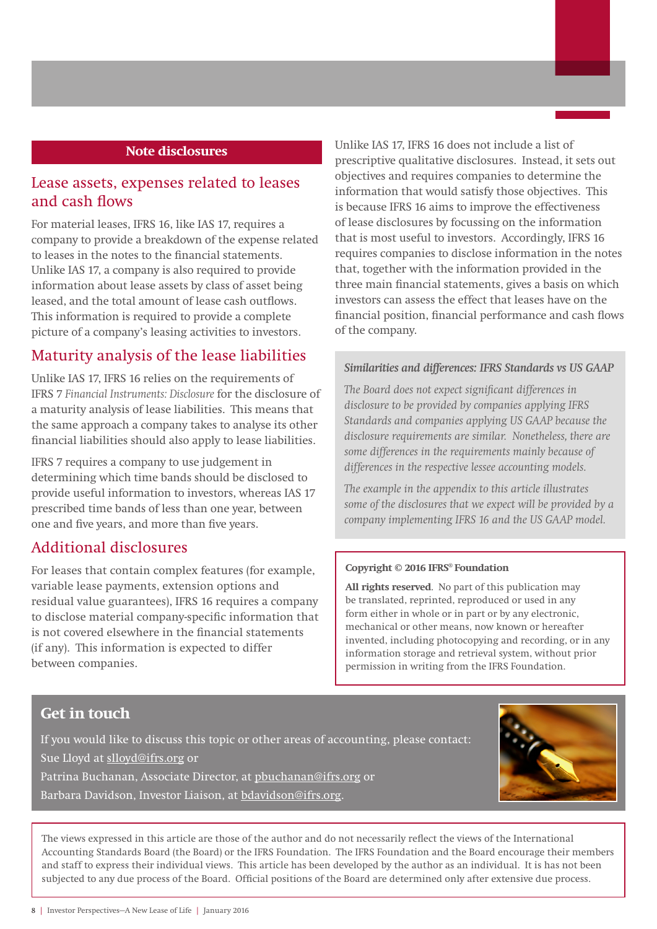#### **Note disclosures**

## Lease assets, expenses related to leases and cash flows

For material leases, IFRS 16, like IAS 17, requires a company to provide a breakdown of the expense related to leases in the notes to the financial statements. Unlike IAS 17, a company is also required to provide information about lease assets by class of asset being leased, and the total amount of lease cash outflows. This information is required to provide a complete picture of a company's leasing activities to investors.

## Maturity analysis of the lease liabilities

Unlike IAS 17, IFRS 16 relies on the requirements of IFRS 7 *Financial Instruments: Disclosure* for the disclosure of a maturity analysis of lease liabilities. This means that the same approach a company takes to analyse its other financial liabilities should also apply to lease liabilities.

IFRS 7 requires a company to use judgement in determining which time bands should be disclosed to provide useful information to investors, whereas IAS 17 prescribed time bands of less than one year, between one and five years, and more than five years.

## Additional disclosures

For leases that contain complex features (for example, variable lease payments, extension options and residual value guarantees), IFRS 16 requires a company to disclose material company-specific information that is not covered elsewhere in the financial statements (if any). This information is expected to differ between companies.

Unlike IAS 17, IFRS 16 does not include a list of prescriptive qualitative disclosures. Instead, it sets out objectives and requires companies to determine the information that would satisfy those objectives. This is because IFRS 16 aims to improve the effectiveness of lease disclosures by focussing on the information that is most useful to investors. Accordingly, IFRS 16 requires companies to disclose information in the notes that, together with the information provided in the three main financial statements, gives a basis on which investors can assess the effect that leases have on the financial position, financial performance and cash flows of the company.

#### *Similarities and differences: IFRS Standards vs US GAAP*

*The Board does not expect significant differences in disclosure to be provided by companies applying IFRS Standards and companies applying US GAAP because the disclosure requirements are similar. Nonetheless, there are some differences in the requirements mainly because of differences in the respective lessee accounting models.* 

*The example in the appendix to this article illustrates some of the disclosures that we expect will be provided by a company implementing IFRS 16 and the US GAAP model.*

#### **Copyright © 2016 IFRS® Foundation**

**All rights reserved**. No part of this publication may be translated, reprinted, reproduced or used in any form either in whole or in part or by any electronic, mechanical or other means, now known or hereafter invented, including photocopying and recording, or in any information storage and retrieval system, without prior permission in writing from the IFRS Foundation.

## **Get in touch**

If you would like to discuss this topic or other areas of accounting, please contact: Sue Lloyd at slloyd@ifrs.org or Patrina Buchanan, Associate Director, at pbuchanan@ifrs.org or Barbara Davidson, Investor Liaison, at bdavidson@ifrs.org.



The views expressed in this article are those of the author and do not necessarily reflect the views of the International Accounting Standards Board (the Board) or the IFRS Foundation. The IFRS Foundation and the Board encourage their members and staff to express their individual views. This article has been developed by the author as an individual. It is has not been subjected to any due process of the Board. Official positions of the Board are determined only after extensive due process.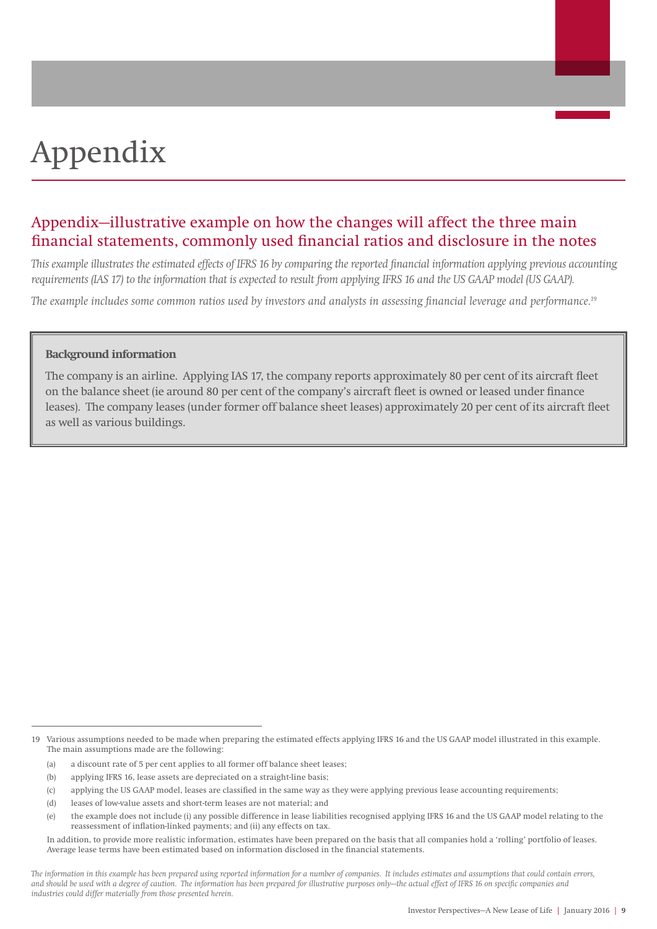# Appendix

# Appendix—illustrative example on how the changes will affect the three main financial statements, commonly used financial ratios and disclosure in the notes

*This example illustrates the estimated effects of IFRS 16 by comparing the reported financial information applying previous accounting requirements (IAS 17) to the information that is expected to result from applying IFRS 16 and the US GAAP model (US GAAP).*

*The example includes some common ratios used by investors and analysts in assessing financial leverage and performance.19*

#### **Background information**

The company is an airline. Applying IAS 17, the company reports approximately 80 per cent of its aircraft fleet on the balance sheet (ie around 80 per cent of the company's aircraft fleet is owned or leased under finance leases). The company leases (under former off balance sheet leases) approximately 20 per cent of its aircraft fleet as well as various buildings.

<sup>19</sup> Various assumptions needed to be made when preparing the estimated effects applying IFRS 16 and the US GAAP model illustrated in this example. The main assumptions made are the following:

<sup>(</sup>a) a discount rate of 5 per cent applies to all former off balance sheet leases;

<sup>(</sup>b) applying IFRS 16, lease assets are depreciated on a straight-line basis;

<sup>(</sup>c) applying the US GAAP model, leases are classified in the same way as they were applying previous lease accounting requirements;

<sup>(</sup>d) leases of low-value assets and short-term leases are not material; and

<sup>(</sup>e) the example does not include (i) any possible difference in lease liabilities recognised applying IFRS 16 and the US GAAP model relating to the reassessment of inflation-linked payments; and (ii) any effects on tax.

In addition, to provide more realistic information, estimates have been prepared on the basis that all companies hold a 'rolling' portfolio of leases. Average lease terms have been estimated based on information disclosed in the financial statements.

*The information in this example has been prepared using reported information for a number of companies. It includes estimates and assumptions that could contain errors, and should be used with a degree of caution. The information has been prepared for illustrative purposes only—the actual effect of IFRS 16 on specific companies and industries could differ materially from those presented herein.*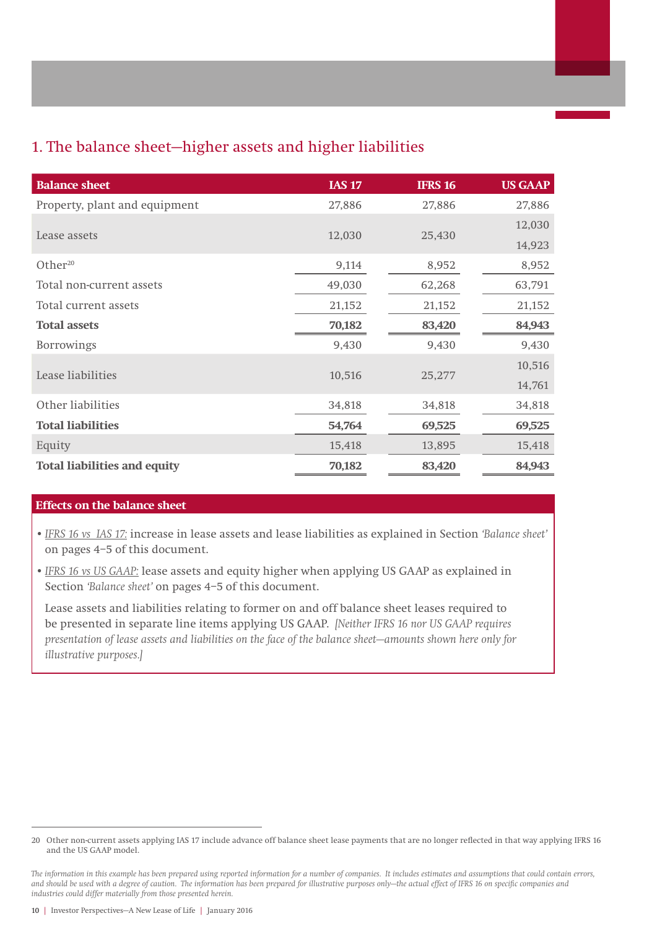# 1. The balance sheet—higher assets and higher liabilities

| <b>Balance sheet</b>                | <b>IAS 17</b> | <b>IFRS 16</b> | <b>US GAAP</b> |
|-------------------------------------|---------------|----------------|----------------|
| Property, plant and equipment       | 27,886        | 27,886         | 27,886         |
|                                     |               |                | 12,030         |
| Lease assets                        | 12,030        | 25,430         | 14,923         |
| Other <sup>20</sup>                 | 9,114         | 8,952          | 8,952          |
| Total non-current assets            | 49,030        | 62,268         | 63,791         |
| Total current assets                | 21,152        | 21,152         | 21,152         |
| <b>Total assets</b>                 | 70,182        | 83,420         | 84,943         |
| <b>Borrowings</b>                   | 9,430         | 9,430          | 9,430          |
|                                     |               |                | 10,516         |
| Lease liabilities                   | 10,516        | 25,277         | 14,761         |
| Other liabilities                   | 34,818        | 34,818         | 34,818         |
| <b>Total liabilities</b>            | 54,764        | 69,525         | 69,525         |
| Equity                              | 15,418        | 13,895         | 15,418         |
| <b>Total liabilities and equity</b> | 70,182        | 83,420         | 84,943         |

#### **Effects on the balance sheet**

- •*IFRS 16 vs IAS 17:* increase in lease assets and lease liabilities as explained in Section *'Balance sheet'* on pages 4–5 of this document.
- •*IFRS 16 vs US GAAP:* lease assets and equity higher when applying US GAAP as explained in Section *'Balance sheet'* on pages 4–5 of this document.

Lease assets and liabilities relating to former on and off balance sheet leases required to be presented in separate line items applying US GAAP. *[Neither IFRS 16 nor US GAAP requires presentation of lease assets and liabilities on the face of the balance sheet—amounts shown here only for illustrative purposes.]*

<sup>20</sup> Other non-current assets applying IAS 17 include advance off balance sheet lease payments that are no longer reflected in that way applying IFRS 16 and the US GAAP model.

*The information in this example has been prepared using reported information for a number of companies. It includes estimates and assumptions that could contain errors, and should be used with a degree of caution. The information has been prepared for illustrative purposes only—the actual effect of IFRS 16 on specific companies and industries could differ materially from those presented herein.*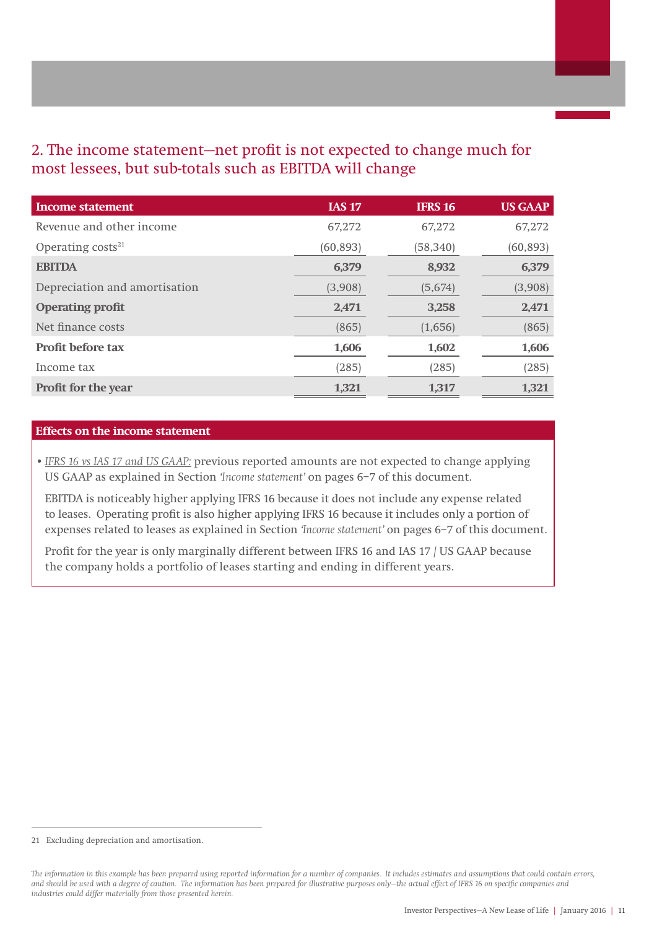# 2. The income statement—net profit is not expected to change much for most lessees, but sub-totals such as EBITDA will change

| Income statement              | <b>IAS 17</b> | <b>IFRS 16</b> | <b>US GAAP</b> |
|-------------------------------|---------------|----------------|----------------|
| Revenue and other income      | 67,272        | 67,272         | 67,272         |
| Operating $costs21$           | (60, 893)     | (58, 340)      | (60, 893)      |
| <b>EBITDA</b>                 | 6,379         | 8,932          | 6,379          |
| Depreciation and amortisation | (3,908)       | (5,674)        | (3,908)        |
| <b>Operating profit</b>       | 2,471         | 3,258          | 2,471          |
| Net finance costs             | (865)         | (1,656)        | (865)          |
| <b>Profit before tax</b>      | 1,606         | 1,602          | 1,606          |
| Income tax                    | (285)         | (285)          | (285)          |
| <b>Profit for the year</b>    | 1,321         | 1,317          | 1,321          |

#### **Effects on the income statement**

•*IFRS 16 vs IAS 17 and US GAAP:* previous reported amounts are not expected to change applying US GAAP as explained in Section *'Income statement'* on pages 6–7 of this document.

EBITDA is noticeably higher applying IFRS 16 because it does not include any expense related to leases. Operating profit is also higher applying IFRS 16 because it includes only a portion of expenses related to leases as explained in Section *'Income statement'* on pages 6–7 of this document.

Profit for the year is only marginally different between IFRS 16 and IAS 17 / US GAAP because the company holds a portfolio of leases starting and ending in different years.

<sup>21</sup> Excluding depreciation and amortisation.

*The information in this example has been prepared using reported information for a number of companies. It includes estimates and assumptions that could contain errors, and should be used with a degree of caution. The information has been prepared for illustrative purposes only—the actual effect of IFRS 16 on specific companies and industries could differ materially from those presented herein.*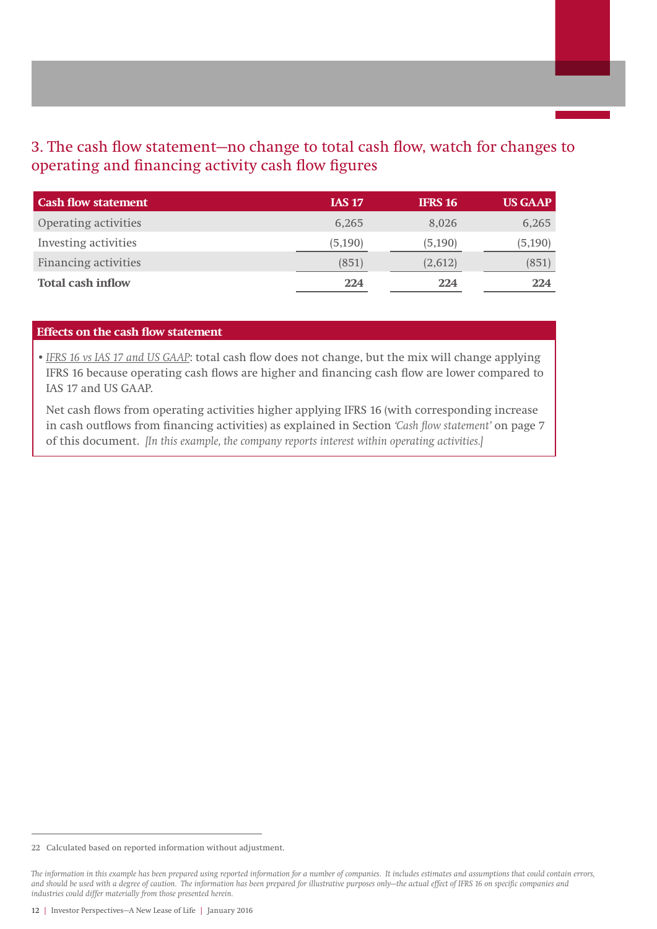# 3. The cash flow statement—no change to total cash flow, watch for changes to operating and financing activity cash flow figures

| <b>Cash flow statement</b>  | <b>IAS 17</b> | <b>IFRS 16</b> | <b>US GAAP</b> |
|-----------------------------|---------------|----------------|----------------|
| Operating activities        | 6.265         | 8.026          | 6,265          |
| Investing activities        | (5, 190)      | (5, 190)       | (5, 190)       |
| <b>Financing activities</b> | (851)         | (2,612)        | (851)          |
| <b>Total cash inflow</b>    | 224           | 224            | 224            |

#### **Effects on the cash flow statement**

•*IFRS 16 vs IAS 17 and US GAAP*: total cash flow does not change, but the mix will change applying IFRS 16 because operating cash flows are higher and financing cash flow are lower compared to IAS 17 and US GAAP.

Net cash flows from operating activities higher applying IFRS 16 (with corresponding increase in cash outflows from financing activities) as explained in Section *'Cash flow statement'* on page 7 of this document. *[In this example, the company reports interest within operating activities.]*

<sup>22</sup> Calculated based on reported information without adjustment.

*The information in this example has been prepared using reported information for a number of companies. It includes estimates and assumptions that could contain errors, and should be used with a degree of caution. The information has been prepared for illustrative purposes only—the actual effect of IFRS 16 on specific companies and industries could differ materially from those presented herein.*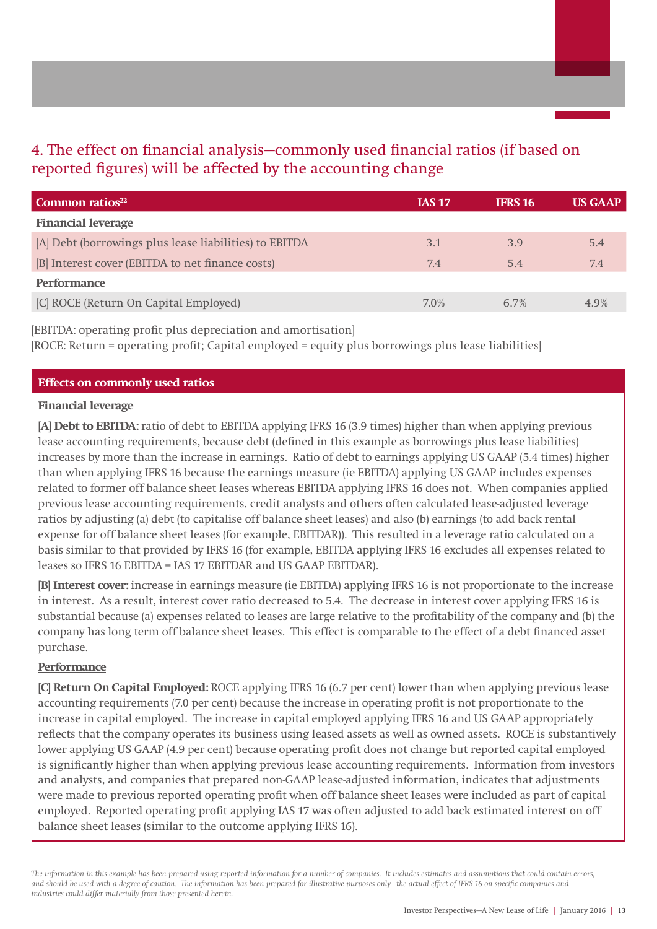# 4. The effect on financial analysis—commonly used financial ratios (if based on reported figures) will be affected by the accounting change

| <b>Common ratios</b> $^{22}$                           | <b>IAS 17</b> | <b>IFRS 16</b> | <b>US GAAP</b> |
|--------------------------------------------------------|---------------|----------------|----------------|
| <b>Financial leverage</b>                              |               |                |                |
| [A] Debt (borrowings plus lease liabilities) to EBITDA | 3.1           | 3.9            | 5.4            |
| [B] Interest cover (EBITDA to net finance costs)       | 7.4           | 5.4            | 7.4            |
| <b>Performance</b>                                     |               |                |                |
| [C] ROCE (Return On Capital Employed)                  | $7.0\%$       | 6.7%           | 49%            |

[EBITDA: operating profit plus depreciation and amortisation] [ROCE: Return = operating profit; Capital employed = equity plus borrowings plus lease liabilities]

#### **Effects on commonly used ratios**

#### **Financial leverage**

**[A] Debt to EBITDA:** ratio of debt to EBITDA applying IFRS 16 (3.9 times) higher than when applying previous lease accounting requirements, because debt (defined in this example as borrowings plus lease liabilities) increases by more than the increase in earnings. Ratio of debt to earnings applying US GAAP (5.4 times) higher than when applying IFRS 16 because the earnings measure (ie EBITDA) applying US GAAP includes expenses related to former off balance sheet leases whereas EBITDA applying IFRS 16 does not. When companies applied previous lease accounting requirements, credit analysts and others often calculated lease‑adjusted leverage ratios by adjusting (a) debt (to capitalise off balance sheet leases) and also (b) earnings (to add back rental expense for off balance sheet leases (for example, EBITDAR)). This resulted in a leverage ratio calculated on a basis similar to that provided by IFRS 16 (for example, EBITDA applying IFRS 16 excludes all expenses related to leases so IFRS 16 EBITDA = IAS 17 EBITDAR and US GAAP EBITDAR).

**[B] Interest cover:** increase in earnings measure (ie EBITDA) applying IFRS 16 is not proportionate to the increase in interest. As a result, interest cover ratio decreased to 5.4. The decrease in interest cover applying IFRS 16 is substantial because (a) expenses related to leases are large relative to the profitability of the company and (b) the company has long term off balance sheet leases. This effect is comparable to the effect of a debt financed asset purchase.

#### **Performance**

**[C] Return On Capital Employed:** ROCE applying IFRS 16 (6.7 per cent) lower than when applying previous lease accounting requirements (7.0 per cent) because the increase in operating profit is not proportionate to the increase in capital employed. The increase in capital employed applying IFRS 16 and US GAAP appropriately reflects that the company operates its business using leased assets as well as owned assets. ROCE is substantively lower applying US GAAP (4.9 per cent) because operating profit does not change but reported capital employed is significantly higher than when applying previous lease accounting requirements. Information from investors and analysts, and companies that prepared non-GAAP lease-adjusted information, indicates that adjustments were made to previous reported operating profit when off balance sheet leases were included as part of capital employed. Reported operating profit applying IAS 17 was often adjusted to add back estimated interest on off balance sheet leases (similar to the outcome applying IFRS 16).

*The information in this example has been prepared using reported information for a number of companies. It includes estimates and assumptions that could contain errors, and should be used with a degree of caution. The information has been prepared for illustrative purposes only—the actual effect of IFRS 16 on specific companies and industries could differ materially from those presented herein.*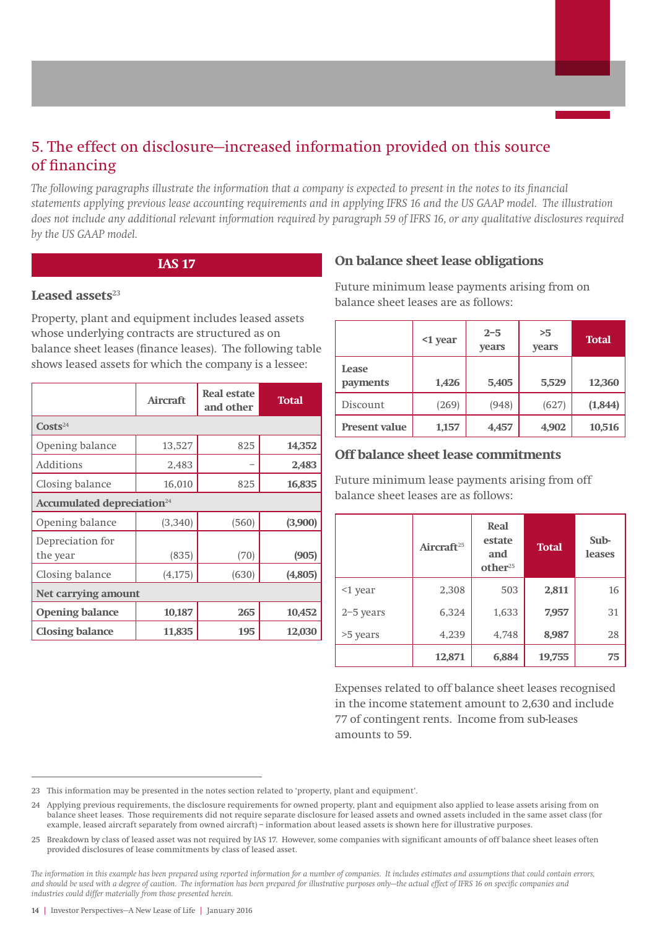# 5. The effect on disclosure—increased information provided on this source of financing

*The following paragraphs illustrate the information that a company is expected to present in the notes to its financial statements applying previous lease accounting requirements and in applying IFRS 16 and the US GAAP model. The illustration does not include any additional relevant information required by paragraph 59 of IFRS 16, or any qualitative disclosures required by the US GAAP model.*

#### **IAS 17**

#### **Leased assets**<sup>23</sup>

Property, plant and equipment includes leased assets whose underlying contracts are structured as on balance sheet leases (finance leases). The following table shows leased assets for which the company is a lessee:

|                              | <b>Aircraft</b>                        | <b>Real estate</b><br>and other | <b>Total</b> |  |
|------------------------------|----------------------------------------|---------------------------------|--------------|--|
| $\text{Costs}^{24}$          |                                        |                                 |              |  |
| Opening balance              | 13,527                                 | 825                             | 14,352       |  |
| Additions                    | 2,483                                  |                                 | 2,483        |  |
| Closing balance              | 16,010                                 | 825                             | 16,835       |  |
|                              | Accumulated depreciation <sup>24</sup> |                                 |              |  |
| Opening balance              | (3,340)                                | (560)                           | (3,900)      |  |
| Depreciation for<br>the year | (835)                                  | (70)                            | (905)        |  |
| Closing balance              | (4, 175)                               | (630)                           | (4,805)      |  |
| Net carrying amount          |                                        |                                 |              |  |
| <b>Opening balance</b>       | 10,187                                 | 265                             | 10,452       |  |
| <b>Closing balance</b>       | 11,835                                 | 195                             | 12,030       |  |

### **On balance sheet lease obligations**

Future minimum lease payments arising from on balance sheet leases are as follows:

|                      | <1 year | $2 - 5$<br>years | >5<br>years | <b>Total</b> |
|----------------------|---------|------------------|-------------|--------------|
| Lease<br>payments    | 1,426   | 5,405            | 5,529       | 12,360       |
| Discount             | (269)   | (948)            | (627)       | (1, 844)     |
| <b>Present value</b> | 1,157   | 4,457            | 4,902       | 10,516       |

## **Off balance sheet lease commitments**

Future minimum lease payments arising from off balance sheet leases are as follows:

|             | Aircraft <sup>25</sup> | <b>Real</b><br>estate<br>and<br>other <sup>25</sup> | <b>Total</b> | Sub-<br><b>leases</b> |
|-------------|------------------------|-----------------------------------------------------|--------------|-----------------------|
| $<$ 1 year  | 2,308                  | 503                                                 | 2,811        | 16                    |
| $2-5$ years | 6,324                  | 1,633                                               | 7,957        | 31                    |
| >5 years    | 4,239                  | 4,748                                               | 8,987        | 28                    |
|             | 12,871                 | 6,884                                               | 19,755       | 75                    |

Expenses related to off balance sheet leases recognised in the income statement amount to 2,630 and include 77 of contingent rents. Income from sub-leases amounts to 59.

<sup>23</sup> This information may be presented in the notes section related to 'property, plant and equipment'.

<sup>24</sup> Applying previous requirements, the disclosure requirements for owned property, plant and equipment also applied to lease assets arising from on balance sheet leases. Those requirements did not require separate disclosure for leased assets and owned assets included in the same asset class (for example, leased aircraft separately from owned aircraft) – information about leased assets is shown here for illustrative purposes.

<sup>25</sup> Breakdown by class of leased asset was not required by IAS 17. However, some companies with significant amounts of off balance sheet leases often provided disclosures of lease commitments by class of leased asset.

*The information in this example has been prepared using reported information for a number of companies. It includes estimates and assumptions that could contain errors, and should be used with a degree of caution. The information has been prepared for illustrative purposes only—the actual effect of IFRS 16 on specific companies and industries could differ materially from those presented herein.*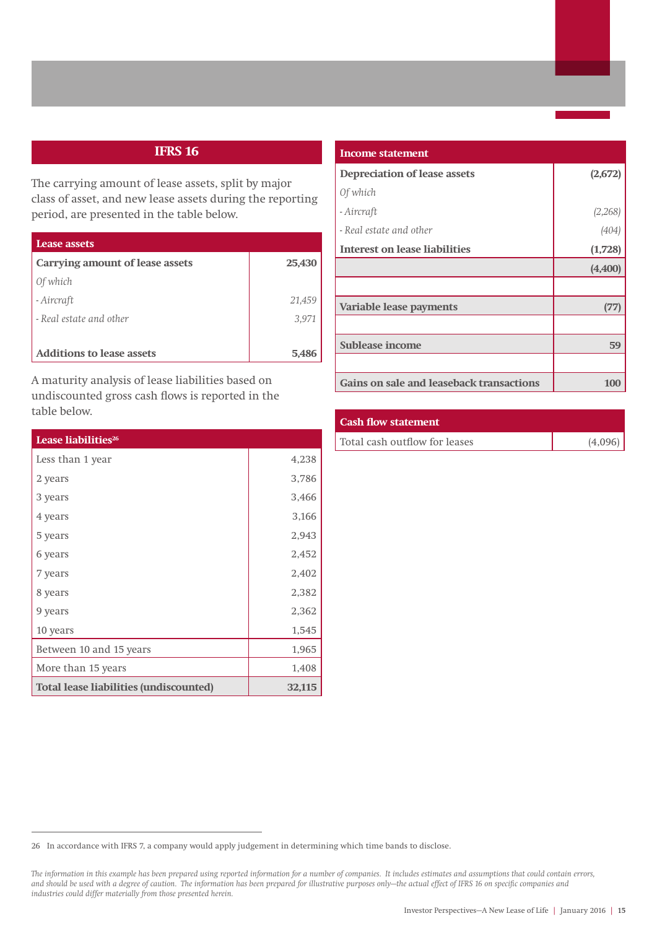## **IFRS 16**

The carrying amount of lease assets, split by major class of asset, and new lease assets during the reporting period, are presented in the table below.

| Lease assets                     |        |
|----------------------------------|--------|
| Carrying amount of lease assets  | 25,430 |
| Of which                         |        |
| - Aircraft                       | 21,459 |
| - Real estate and other          | 3,971  |
|                                  |        |
| <b>Additions to lease assets</b> | 5,486  |

A maturity analysis of lease liabilities based on undiscounted gross cash flows is reported in the table below.

| Lease liabilities <sup>26</sup>               |        |
|-----------------------------------------------|--------|
| Less than 1 year                              | 4,238  |
| 2 years                                       | 3,786  |
| 3 years                                       | 3,466  |
| 4 years                                       | 3,166  |
| 5 years                                       | 2,943  |
| 6 years                                       | 2,452  |
| 7 years                                       | 2,402  |
| 8 years                                       | 2,382  |
| 9 years                                       | 2,362  |
| 10 years                                      | 1,545  |
| Between 10 and 15 years                       | 1,965  |
| More than 15 years                            | 1,408  |
| <b>Total lease liabilities (undiscounted)</b> | 32,115 |

| Income statement                         |          |  |  |
|------------------------------------------|----------|--|--|
| <b>Depreciation of lease assets</b>      | (2, 672) |  |  |
| Of which                                 |          |  |  |
| - Aircraft                               | (2,268)  |  |  |
| - Real estate and other                  | (404)    |  |  |
| <b>Interest on lease liabilities</b>     | (1,728)  |  |  |
|                                          | (4, 400) |  |  |
|                                          |          |  |  |
| Variable lease payments                  | (77      |  |  |
|                                          |          |  |  |
| Sublease income                          | 59       |  |  |
|                                          |          |  |  |
| Gains on sale and leaseback transactions | 100      |  |  |

#### **Cash flow statement**

|  | Total cash outflow for leases |  |
|--|-------------------------------|--|

| Total cash outflow for leases | (4,096) |
|-------------------------------|---------|
|-------------------------------|---------|

<sup>26</sup> In accordance with IFRS 7, a company would apply judgement in determining which time bands to disclose.

*The information in this example has been prepared using reported information for a number of companies. It includes estimates and assumptions that could contain errors, and should be used with a degree of caution. The information has been prepared for illustrative purposes only—the actual effect of IFRS 16 on specific companies and industries could differ materially from those presented herein.*